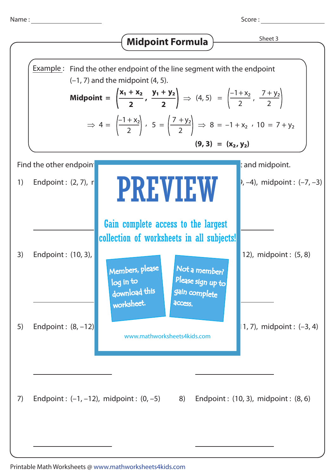